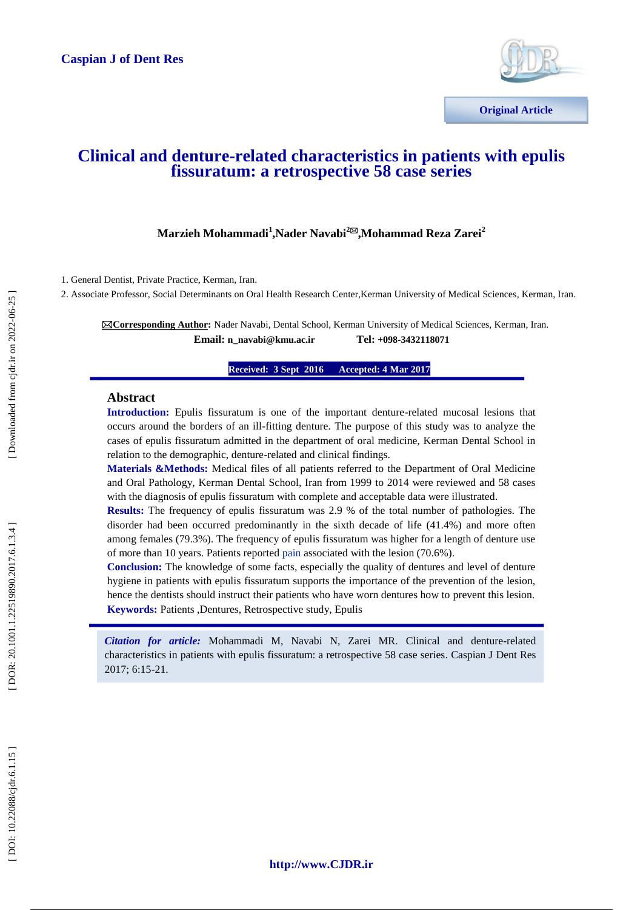

## **Clinical and denture -related characteristics in patients with epulis fissuratum: a retrospective 58 case [series](http://www.ncbi.nlm.nih.gov/pubmed/26549473)**

### $\mathbf{M}$ arzieh Mohammadi<sup>1</sup>,Nader Navabi<sup>2⊠</sup>,Mohammad Reza Zarei<sup>2</sup>

1. General Dentist, Private Practice, Kerman, Iran.

2. Associate Professor, Social Determinants on Oral Health Research Center,Kerman University of Medical Sciences, Kerman, Iran.

**Corresponding Author:** Nader Navabi, Dental School, Kerman University of Medical Sciences, Kerman, Iran. **Email: n\_navabi@kmu.ac.ir +098 -3432118071**

> **Received: 3 Sept 201ce Received: 3 Sept 201 Accepted: 4 Mar 2017**

### **Abstract**

**Introduction:** Epulis fissuratum is one of the important denture -related mucosal lesions that occurs around the borders of an ill -fitting denture. The purpose of this study was to analyze the cases of epulis fissuratum admitted in the department of oral medicine, Kerman Dental School in relation to the demographic, denture -related and clinical findings.

**Materials &Methods:** Medical files of all patients referred to the Department of Oral Medicine and Oral Pathology, Kerman Dental School, Iran from 1999 to 2014 were reviewed and 58 cases with the diagnosis of epulis fissuratum with complete and acceptable data were illustrated.

**Results:** The frequency of epulis fissuratum was 2.9 % of the total number of pathologies. The disorder had been occurred predominantly in the sixth decade of life (41.4%) and more often among females (79.3%). The frequency of epulis fissuratum was higher for a length of denture use of more than 10 years. Patients reported pain associated with the lesion (70.6%).

**Conclusion:** The knowledge of some facts, especially the quality of dentures and level of denture hygiene in patients with epulis fissuratum supports the importance of the prevention of the lesion, hence the dentists should instruct their patients who have worn dentures how to prevent this lesion. **Keywords:** Patients ,Dentures, Retrospective study, Epulis

*Citation for article:* Mohammadi M, Navabi N, Zarei MR. Clinical and denture -related characteristics in patients with epulis fissuratum: a retrospective 58 case series . Caspian J Dent Res 2017; 6:15 -21.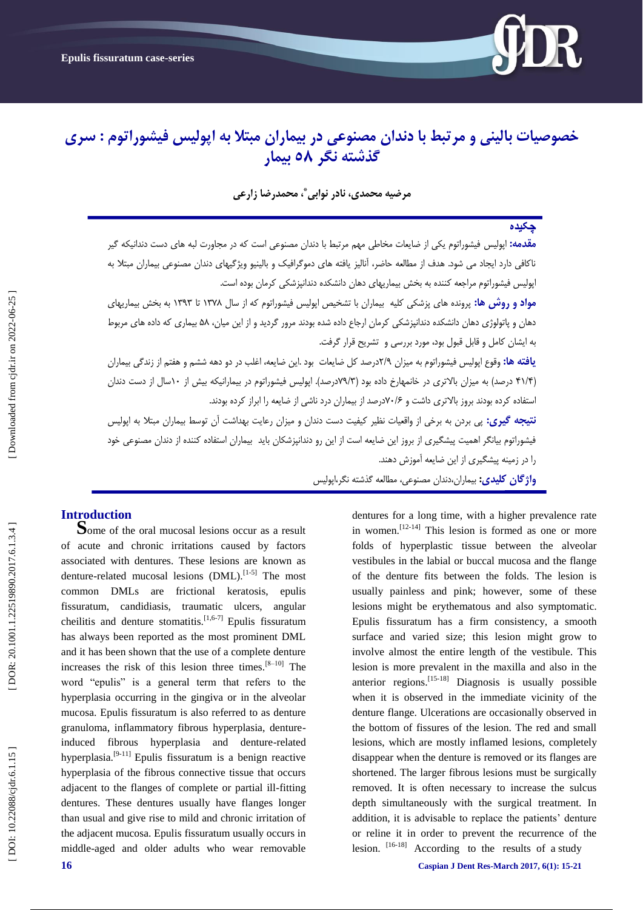

# **خصوصیات بالینی و مزتبط با دندان مصنوعی در بیماران مبتال به اپولیس فیشوراتوم : سزی گذشته نگز 85 بیمار**

**مزضیه محمدی، نادر نوابی ، محمدرضا سارعی \***

## **چکیده**

**مقدمه:** اپولیس فیشوراتوم یکی از ضایعات مخاطی مهم مرتبط با دندان مصنوعی است که در مجاورت لبه های دست دندانیکه گیر ناکافی دارد ایجاد می شود. هدف از مطالعِه حاضر، آنالیز یافته های دموگرافیک و بالینیو ویژگیهای دندان مصنوعی بیماران مبتلا به اپولیس فیشوراتوم مراجعه کننده به بخش بیماریهای دهان دانشکده دندانپزشکی کرمان بوده است.

مو**اد و روش ها:** پزونده هاى پزشکی کلیه بیماران با تشخیص اپولیس فیشوراتوم که از سال ۱۳۷۸ تا ۱۳۹۳ به بخش بیماریهای دهان و پاتولوژى دهان دانشکده دندانپزشکی کرمان ارجاع داده شده بودند مرور گردید و از این میان، ۵۸ بیماری که داده های مربوط بِ ایشاى کاهل ٍ قابل قبَل بَد، هَرد بزرسی ٍ تشزیح قزار گزفت.

**یافته ها:** وقوع اپولیس فیشوراتوم به میزان ۲/۹درصد کل ضایعات بود .این ضایعه، اغلب در دو دهه ششم و هفتم از زندگی بیماران (۴۱/۴ درصد) به میزان بالاتری در خانمهارخ داده بود (۷۹/۳درصد). اپولیس فیشوراتوم در بیمارانیکه بیش از ۱۰سال از دست دندان استفاده کرده بودند بروز بالاتری داشت و ۷۰/۶درصد از بیماران درد ناشی از ضایعه را ابراز کرده بودند.

**نتیجه گیری:** پی بردن بِه برخی از واقعیات نظیر کیفیت دست دندان و میزان رعایت بهداشت آن توسط بیماران مبتلا بِه اپولیس فیشوراتوم بیانگر اهمیت پیشگیری از بروز این ضایعه است از این رو دندانپزشکان باید بیماران استفاده کننده از دندان مصنوعی خود<br>را در زمینه پیشگیری از این ضایعه آموزش دهند.

**واژگان كلیدی:** بیماران،دندان مصنوعی، مطالعه گذشته نگر،اپولیس

**Introduction**<br>**Some of the oral mucosal lesions occur as a result** of acute and chronic irritations caused by factors associated with dentures. These lesions are known as denture-related mucosal lesions (DML).<sup>[1-5]</sup> The most common DMLs are frictional keratosis, epulis fissuratum, candidiasis, traumatic ulcers, angular cheilitis and denture stomatitis.<sup>[1,6-7]</sup> Epulis fissuratum has always been reported as the most prominent DML and it has been shown that the use of a complete denture increases the risk of this lesion three times.<sup>[8-10]</sup> The word "epulis" is a general term that refers to the hyperplasia occurring in the gingiva or in the alveolar mucosa. Epulis fissuratum is also referred to as denture granuloma, inflammatory fibrous hyperplasia, denture induced fibrous hyperplasia and denture -related hyperplasia.<sup>[9-11]</sup> Epulis fissuratum is a benign reactive hyperplasia of the fibrous connective tissue that occurs adjacent to the flanges of complete or partial ill -fitting dentures. These dentures usually have flanges longer than usual and give rise to mild and chronic irritation of the adjacent mucosa. Epulis fissuratum usually occurs in middle -aged and older adults who wear removable dentures for a long time, with a higher prevalence rate in women.<sup>[12-14]</sup> This lesion is formed as one or more folds of hyperplastic tissue between the alveolar vestibules in the labial or buccal mucosa and the flange of the denture fits between the folds. The lesion is usually painless and pink; however, some of these lesions might be erythematous and also symptomatic. Epulis fissuratum has a firm consistency, a smooth surface and varied size; this lesion might grow to involve almost the entire length of the vestibule. This lesion is more prevalent in the maxilla and also in the anterior regions.<sup>[15-18]</sup> Diagnosis is usually possible when it is observed in the immediate vicinity of the denture flange. Ulcerations are occasionally observed in the bottom of fissures of the lesion. The red and small lesions, which are mostly inflamed lesions, completely disappear when the denture is removed or its flanges are shortened. The larger fibrous lesions must be surgically removed. It is often necessary to increase the sulcus depth simultaneously with the surgical treatment. In addition, it is advisable to replace the patients' denture or reline it in order to prevent the recurrence of the lesion.  $[16-18]$  According to the results of a study

**16 Caspian J Dent Res-March** 2017, 6(1): 15-21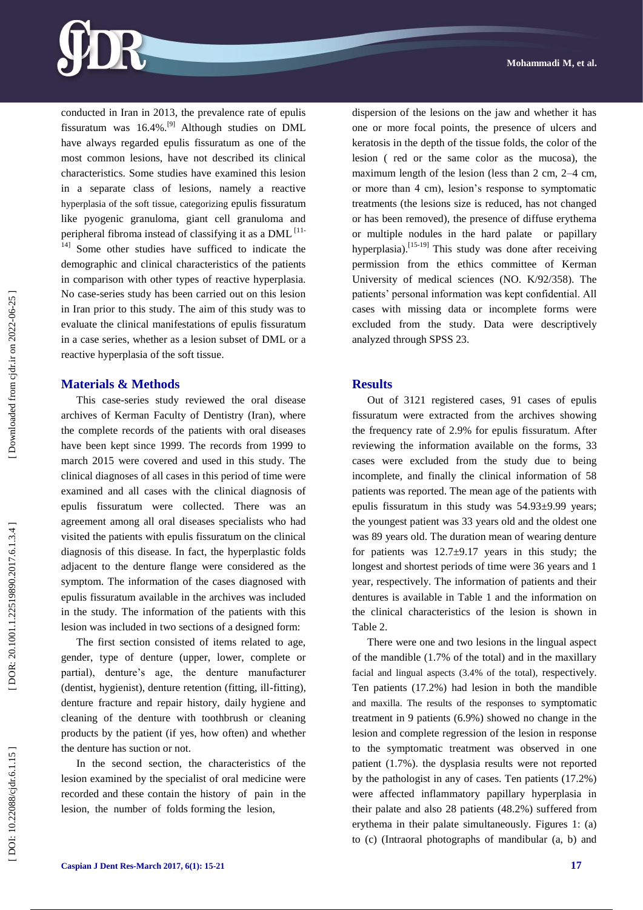

conducted in Iran in 2013, the prevalence rate of epulis fissuratum was 16.4%.[9] Although studies on DML have always regarded epulis fissuratum as one of the most common lesions, have not described its clinical characteristics. Some studies have examined this lesion in a separate class of lesions, namely a reactive hyperplasia of the soft tissue, categorizing epulis fissuratum like pyogenic granuloma, giant cell granuloma and peripheral fibroma instead of classifying it as a DML<sup>[11-</sup> 14] Some other studies have sufficed to indicate the demographic and clinical characteristics of the patients in comparison with other types of reactive hyperplasia. No case -series study has been carried out on this lesion in Iran prior to this study. The aim of this study was to evaluate the clinical manifestations of epulis fissuratum in a case series, whether as a lesion subset of DML or a reactive hyperplasia of the soft tissue .

### **Materials & Methods**

This case -series study reviewed the oral disease archives of Kerman Faculty of Dentistry (Iran), where the complete records of the patients with oral diseases have been kept since 1999. The records from 1999 to march 2015 were covered and used in this study. The clinical diagnoses of all cases in this period of time were examined and all cases with the clinical diagnosis of epulis fissuratum were collected. There was an agreement among all oral diseases specialists who had visited the patients with epulis fissuratum on the clinical diagnosis of this disease. In fact, the hyperplastic folds adjacent to the denture flange were considered as the symptom. The information of the cases diagnosed with epulis fissuratum available in the archives was included in the study. The information of the patients with this lesion was included in two sections of a designed form:

The first section consisted of items related to age, gender, type of denture (upper, lower, complete or partial), denture's age, the denture manufacturer (dentist, hygienist), denture retention (fitting, ill -fitting), denture fracture and repair history, daily hygiene and cleaning of the denture with toothbrush or cleaning products by the patient (if yes, how often) and whether the denture has suction or not.

In the second section, the characteristics of the lesion examined by the specialist of oral medicine were recorded and these contain the history of pain in the lesion, the number of folds forming the lesion,

dispersion of the lesions on the jaw and whether it has one or more focal points, the presence of ulcers and keratosis in the depth of the tissue folds, the color of the lesion ( red or the same color as the mucosa), the maximum length of the lesion (less than 2 cm, 2–4 cm, or more than 4 cm), lesion's response to symptomatic treatments (the lesions size is reduced, has not changed or has been removed), the presence of diffuse erythema or multiple nodules in the hard palate or papillary hyperplasia).<sup>[15-19]</sup> This study was done after receiving permission from the ethics committee of Kerman University of medical sciences (NO. K/92/358). The patients' personal information was kept confidential. All cases with missing data or incomplete forms were excluded from the study. Data were descriptively analyzed through SPSS 23.

### **Results**

Out of 3121 registered cases, 91 cases of epulis fissuratum were extracted from the archives showing the frequency rate of 2.9% for epulis fissuratum. After reviewing the information available on the forms, 33 cases were excluded from the study due to being incomplete, and finally the clinical information of 58 patients was reported. The mean age of the patients with epulis fissuratum in this study was 54.93±9.99 years; the youngest patient was 33 years old and the oldest one was 89 years old. The duration mean of wearing denture for patients was  $12.7\pm9.17$  years in this study; the longest and shortest periods of time were 36 years and 1 year, respectively. The information of patients and their dentures is available in Table 1 and the information on the clinical characteristics of the lesion is shown in Table 2.

There were one and two lesions in the lingual aspect of the mandible (1.7% of the total) and in the maxillary facial and lingual aspects (3.4% of the total), respectively. Ten patients (17.2%) had lesion in both the mandible and maxilla. The results of the responses to symptomatic treatment in 9 patients (6.9%) showed no change in the lesion and complete regression of the lesion in response to the symptomatic treatment was observed in one patient (1.7%). the dysplasia results were not reported by the pathologist in any of cases. Ten patients (17.2%) were affected inflammatory papillary hyperplasia in their palate and also 28 patients (48.2%) suffered from erythema in their palate simultaneously. Figures 1: (a) to (c) (Intraoral photographs of mandibular (a, b) and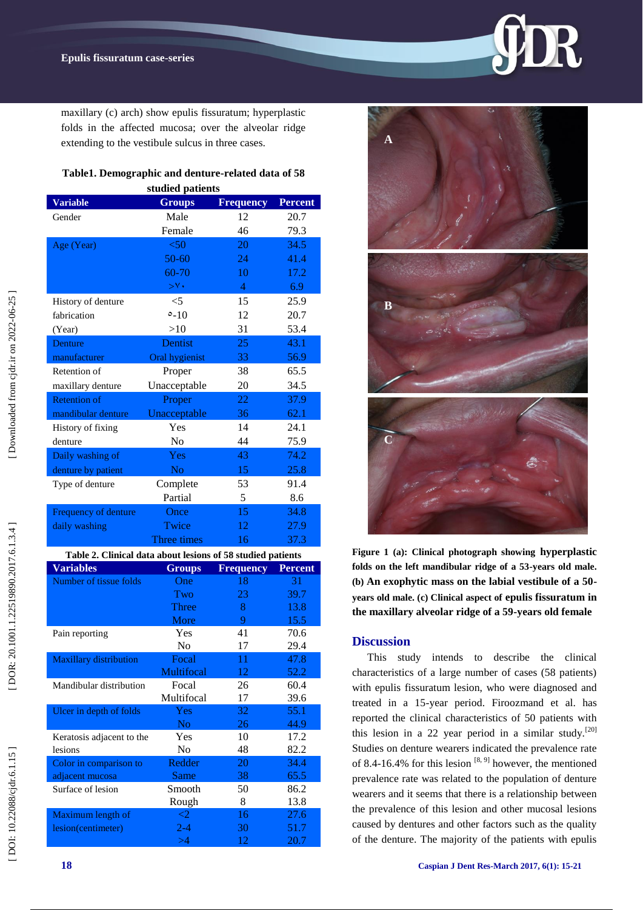maxillary (c) arch) show epulis fissuratum; hyperplastic folds in the affected mucosa; over the alveolar ridge extending to the vestibule sulcus in three cases.

# **Table1. Demographic and denture -related data of 58**

| studied patients                                            |                           |                  |                |
|-------------------------------------------------------------|---------------------------|------------------|----------------|
| <b>Variable</b>                                             | <b>Groups</b>             | <b>Frequency</b> | <b>Percent</b> |
| Gender                                                      | Male                      | 12               | 20.7           |
|                                                             | Female                    | 46               | 79.3           |
| Age (Year)                                                  | < 50                      | 20               | 34.5           |
|                                                             | 50-60                     | 24               | 41.4           |
|                                                             | 60-70                     | 10               | 17.2           |
|                                                             | $>^{\vee}$                | $\overline{4}$   | 6.9            |
| History of denture                                          | $<$ 5                     | 15               | 25.9           |
| fabrication                                                 | $0 - 10$                  | 12               | 20.7           |
| (Year)                                                      | >10                       | 31               | 53.4           |
| Denture                                                     | Dentist                   | 25               | 43.1           |
| manufacturer                                                | Oral hygienist            | 33               | 56.9           |
| Retention of                                                |                           | 38               | 65.5           |
|                                                             | Proper                    |                  |                |
| maxillary denture                                           | Unacceptable              | 20               | 34.5           |
| <b>Retention of</b>                                         | Proper                    | 22               | 37.9           |
| mandibular denture                                          | Unacceptable              | 36               | 62.1           |
| History of fixing                                           | Yes                       | 14               | 24.1           |
| denture                                                     | N <sub>o</sub>            | 44               | 75.9           |
| Daily washing of                                            | Yes                       | 43               | 74.2           |
| denture by patient                                          | No                        | 15               | 25.8           |
| Type of denture                                             | Complete                  | 53               | 91.4           |
|                                                             | Partial                   | 5                | 8.6            |
| Frequency of denture                                        | Once                      | 15               | 34.8           |
| daily washing                                               | Twice                     | 12               | 27.9           |
|                                                             | Three times               | 16               | 37.3           |
| Table 2. Clinical data about lesions of 58 studied patients |                           |                  |                |
| <b>Variables</b>                                            | <b>Groups</b>             | <b>Frequency</b> | <b>Percent</b> |
| Number of tissue folds                                      | One                       | 18               | 31             |
|                                                             | Two                       | 23               | 39.7           |
|                                                             | <b>Three</b>              | 8                | 13.8           |
|                                                             | More                      | 9                | 15.5           |
| Pain reporting                                              | Yes                       | 41               | 70.6           |
|                                                             | No                        | 17               | 29.4           |
| Maxillary distribution                                      | Focal                     | 11               | 47.8           |
|                                                             | Multifocal                | 12               | 52.2           |
|                                                             |                           |                  |                |
| Mandibular distribution                                     | Focal                     | 26               | 60.4           |
|                                                             | Multifocal                | 17               | 39.6           |
| Ulcer in depth of folds                                     | Yes                       | 32               | 55.1           |
|                                                             | No                        | 26               | 44.9           |
| Keratosis adjacent to the                                   | Yes                       | 10               | 17.2           |
| lesions                                                     | No                        | 48               | 82.2           |
| Color in comparison to                                      | Redder                    | 20               | 34.4           |
| adjacent mucosa                                             | Same                      | 38               | 65.5           |
| Surface of lesion                                           | Smooth                    | 50               | 86.2           |
|                                                             | Rough                     | 8                | 13.8           |
| Maximum length of<br>lesion(centimeter)                     | $\overline{c}$<br>$2 - 4$ | 16<br>30         | 27.6<br>51.7   |



DOI: 10.22088/cjdr.6.1.15

[ DOI: 10.22088/cjdr.6.1.15 ] [ DOR: 20.1001.22519890.2017.6.1.3.4 ] [\[ Downloaded from cjdr.ir on 2022-06-25 \]](http://cjdr.ir/article-1-201-en.html)

DOR: 20.1001.1.22519890.2017.6.1.3.4]

Downloaded from cjdr.ir on 2022-06-25



**Figure 1 (a): Clinical photograph showing hyperplastic folds on the left mandibular ridge of a 53 -years old male. (b) An exophytic mass on the labial vestibule of a 50 years old male. (c) Clinical aspect of epulis fissuratum in the maxillary alveolar ridge of a 59 -years old female**

### **Discussion**

This study intends to describe the clinical characteristics of a large number of cases (58 patients) with epulis fissuratum lesion, who were diagnosed and treated in a 15 -year period. Firoozmand et al. has reported the clinical characteristics of 50 patients with this lesion in a 22 year period in a similar study.<sup>[20]</sup> Studies on denture wearers indicated the prevalence rate of 8.4-16.4% for this lesion  $[8, 9]$  however, the mentioned prevalence rate was related to the population of denture wearers and it seems that there is a relationship between the prevalence of this lesion and other mucosal lesions caused by dentures and other factors such as the quality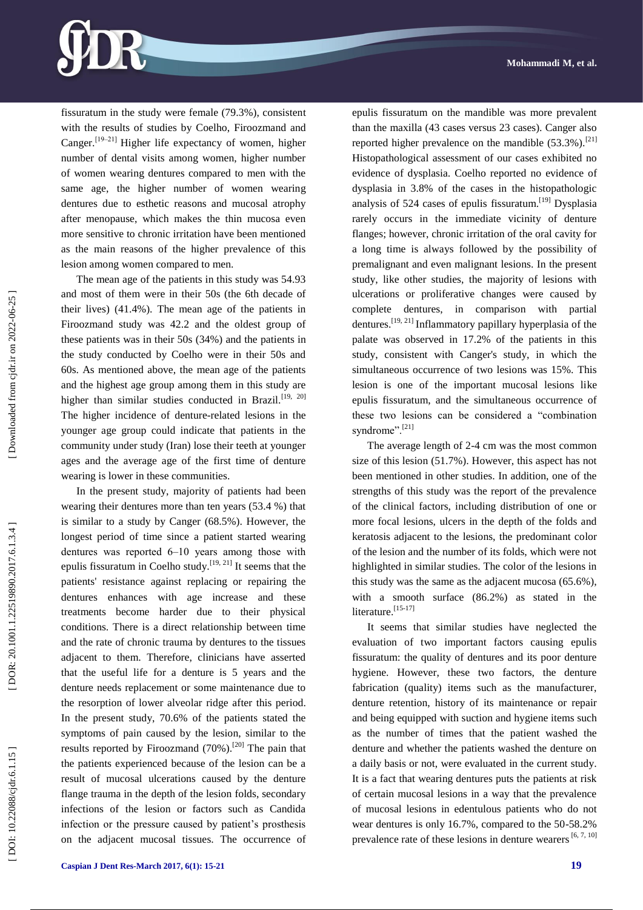

fissuratum in the study were female (79.3%), consistent with the results of studies by Coelho, Firoozmand and Canger.<sup>[19-21]</sup> Higher life expectancy of women, higher number of dental visits among women, higher number of women wearing dentures compared to men with the same age, the higher number of women wearing dentures due to esthetic reasons and mucosal atrophy after menopause, which makes the thin mucosa even more sensitive to chronic irritation have been mentioned as the main reasons of the higher prevalence of this lesion among women compared to men.

The mean age of the patients in this study was 54.93 and most of them were in their 50s (the 6th decade of their lives) (41.4%). The mean age of the patients in Firoozmand study was 42.2 and the oldest group of these patients was in their 50s (34%) and the patients in the study conducted by Coelho were in their 50s and 60s. As mentioned above, the mean age of the patients and the highest age group among them in this study are higher than similar studies conducted in Brazil.<sup>[19, 20]</sup> The higher incidence of denture-related lesions in the younger age group could indicate that patients in the community under study (Iran) lose their teeth at younger ages and the average age of the first time of denture wearing is lower in these communities.

In the present study, majority of patients had been wearing their dentures more than ten years (53.4 %) that is similar to a study by Canger (68.5%). However, the longest period of time since a patient started wearing dentures was reported 6–10 years among those with epulis fissuratum in Coelho study.<sup>[19, 21]</sup> It seems that the patients' resistance against replacing or repairing the dentures enhances with age increase and these treatments become harder due to their physical conditions. There is a direct relationship between time and the rate of chronic trauma by dentures to the tissues adjacent to them. Therefore, clinicians have asserted that the useful life for a denture is 5 years and the denture needs replacement or some maintenance due to the resorption of lower alveolar ridge after this period. In the present study, 70.6% of the patients stated the symptoms of pain caused by the lesion, similar to the results reported by Firoozmand (70%).<sup>[20]</sup> The pain that the patients experienced because of the lesion can be a result of mucosal ulcerations caused by the denture flange trauma in the depth of the lesion folds, secondary infections of the lesion or factors such as Candida infection or the pressure caused by patient's prosthesis on the adjacent mucosal tissues. The occurrence of

**Caspian J Dent Res -March 201 7, 6 ( 1): 15 -21 19**

epulis fissuratum on the mandible was more prevalent than the maxilla (43 cases versus 23 cases). Canger also reported higher prevalence on the mandible  $(53.3\%)$ .<sup>[21]</sup> Histopathological assessment of our cases exhibited no evidence of dysplasia. Coelho reported no evidence of dysplasia in 3.8% of the cases in the histopathologic analysis of 524 cases of epulis fissuratum.[19] Dysplasia rarely occurs in the immediate vicinity of denture flanges; however, chronic irritation of the oral cavity for a long time is always followed by the possibility of premalignant and even malignant lesions. In the present study, like other studies, the majority of lesions with ulcerations or proliferative changes were caused by complete dentures, in comparison with partial dentures.[19, 21] Inflammatory papillary hyperplasia of the palate was observed in 17.2% of the patients in this study, consistent with Canger's study, in which the simultaneous occurrence of two lesions was 15%. This lesion is one of the important mucosal lesions like epulis fissuratum, and the simultaneous occurrence of these two lesions can be considered a "combination syndrome".<sup>[21]</sup>

The average length of 2 -4 cm was the most common size of this lesion (51.7%). However, this aspect has not been mentioned in other studies. In addition, one of the strengths of this study was the report of the prevalence of the clinical factors, including distribution of one or more focal lesions, ulcers in the depth of the folds and keratosis adjacent to the lesions, the predominant color of the lesion and the number of its folds, which were not highlighted in similar studies. The color of the lesions in this study was the same as the adjacent mucosa (65.6%), with a smooth surface (86.2%) as stated in the literature.<sup>[15-17]</sup>

It seems that similar studies have neglected the evaluation of two important factors causing epulis fissuratum: the quality of dentures and its poor denture hygiene. However, these two factors, the denture fabrication (quality) items such as the manufacturer, denture retention, history of its maintenance or repair and being equipped with suction and hygiene items such as the number of times that the patient washed the denture and whether the patients washed the denture on a daily basis or not, were evaluated in the current study. It is a fact that wearing dentures puts the patients at risk of certain mucosal lesions in a way that the prevalence of mucosal lesions in edentulous patients who do not wear dentures is only 16.7%, compared to the 50 -58.2% prevalence rate of these lesions in denture wearers  $[6, 7, 10]$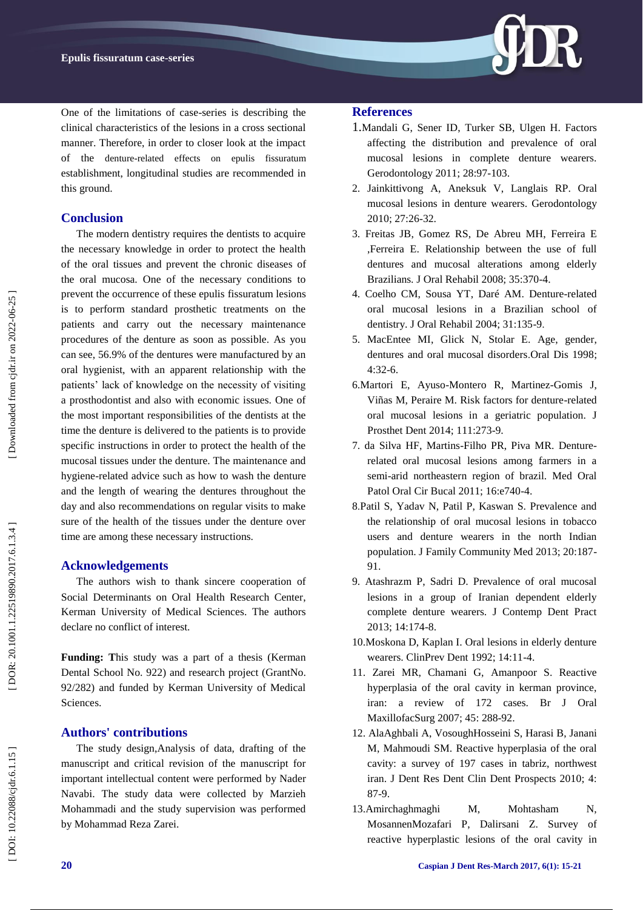

One of the limitations of case -series is describing the clinical characteristics of the lesions in a cross sectional manner. Therefore, in order to closer look at the impact of the denture -related effects on epulis fissuratum establishment, longitudinal studies are recommended in this ground.

### **Conclusion**

The modern dentistry requires the dentists to acquire the necessary knowledge in order to protect the health of the oral tissues and prevent the chronic diseases of the oral mucosa. One of the necessary conditions to prevent the occurrence of these epulis fissuratum lesions is to perform standard prosthetic treatments on the patients and carry out the necessary maintenance procedures of the denture as soon as possible. As you can see, 56.9% of the dentures were manufactured by an oral hygienist, with an apparent relationship with the patients' lack of knowledge on the necessity of visiting a prosthodontist and also with economic issues. One of the most important responsibilities of the dentists at the time the denture is delivered to the patients is to provide specific instructions in order to protect the health of the mucosal tissues under the denture. The maintenance and hygiene -related advice such as how to wash the denture and the length of wearing the dentures throughout the day and also recommendations on regular visits to make sure of the health of the tissues under the denture over time are among these necessary instructions.

### **Acknowledgement s**

The authors wish to thank sincere cooperation of Social Determinants on Oral Health Research Center, Kerman University of Medical Sciences. The authors declare no conflict of interest.

**Funding: T**his study was a part of a thesis (Kerman Dental School No. 922) and research project (GrantNo. 92/282) and funded by Kerman University of Medical Sciences.

### **Authors' contributions**

The study design,Analysis of data, drafting of the manuscript and critical revision of the manuscript for important intellectual content were performed by Nader Navabi. The study data were collected by Marzieh Mohammadi and the study supervision was performed by Mohammad Reza Zarei.

### **References**

- 1.[Mandali G,](https://www.ncbi.nlm.nih.gov/pubmed/?term=Mandali%20G%5BAuthor%5D&cauthor=true&cauthor_uid=20579108) [Sener ID,](https://www.ncbi.nlm.nih.gov/pubmed/?term=Sener%20ID%5BAuthor%5D&cauthor=true&cauthor_uid=20579108) [Turker SB,](https://www.ncbi.nlm.nih.gov/pubmed/?term=Turker%20SB%5BAuthor%5D&cauthor=true&cauthor_uid=20579108) [Ulgen H.](https://www.ncbi.nlm.nih.gov/pubmed/?term=Ulgen%20H%5BAuthor%5D&cauthor=true&cauthor_uid=20579108) Factors affecting the distribution and prevalence of oral mucosal lesions in complete denture wearers. [Gerodontology](http://www.ncbi.nlm.nih.gov/pubmed/20579108) 2011; 28:97 -103.
- 2. [Jainkittivong A,](https://www.ncbi.nlm.nih.gov/pubmed/?term=Jainkittivong%20A%5BAuthor%5D&cauthor=true&cauthor_uid=20461847) [Aneksuk V,](https://www.ncbi.nlm.nih.gov/pubmed/?term=Aneksuk%20V%5BAuthor%5D&cauthor=true&cauthor_uid=20461847) [Langlais RP.](https://www.ncbi.nlm.nih.gov/pubmed/?term=Langlais%20RP%5BAuthor%5D&cauthor=true&cauthor_uid=20461847) Oral mucosal lesions in denture wearers. [Gerodontology](http://www.ncbi.nlm.nih.gov/pubmed/20461847) 2010; 27:26 -32.
- 3. [Freitas JB,](https://www.ncbi.nlm.nih.gov/pubmed/?term=Freitas%20JB%5BAuthor%5D&cauthor=true&cauthor_uid=18405273) [Gomez RS,](https://www.ncbi.nlm.nih.gov/pubmed/?term=Gomez%20RS%5BAuthor%5D&cauthor=true&cauthor_uid=18405273) [De Abreu MH,](https://www.ncbi.nlm.nih.gov/pubmed/?term=De%20Abreu%20MH%5BAuthor%5D&cauthor=true&cauthor_uid=18405273) [Ferreira E](https://www.ncbi.nlm.nih.gov/pubmed/?term=Ferreira%20E%20Ferreira%20E%5BAuthor%5D&cauthor=true&cauthor_uid=18405273)  [,Ferreira E.](https://www.ncbi.nlm.nih.gov/pubmed/?term=Ferreira%20E%20Ferreira%20E%5BAuthor%5D&cauthor=true&cauthor_uid=18405273) Relationship between the use of full dentures and mucosal alterations among elderly Brazilians. [J Oral Rehabil](http://www.ncbi.nlm.nih.gov/pubmed/18405273) 2008; 35:370 -4.
- 4. [Coelho CM,](https://www.ncbi.nlm.nih.gov/pubmed/?term=Coelho%20CM%5BAuthor%5D&cauthor=true&cauthor_uid=15009597) [Sousa YT,](https://www.ncbi.nlm.nih.gov/pubmed/?term=Sousa%20YT%5BAuthor%5D&cauthor=true&cauthor_uid=15009597) [Daré AM.](https://www.ncbi.nlm.nih.gov/pubmed/?term=Dar%C3%A9%20AM%5BAuthor%5D&cauthor=true&cauthor_uid=15009597) Denture -related oral mucosal lesions in a Brazilian school of dentistry. J Oral Rehabil 2004; 31:135-9.
- 5. [MacEntee MI,](https://www.ncbi.nlm.nih.gov/pubmed/?term=MacEntee%20MI%5BAuthor%5D&cauthor=true&cauthor_uid=9655042) [Glick N,](https://www.ncbi.nlm.nih.gov/pubmed/?term=Glick%20N%5BAuthor%5D&cauthor=true&cauthor_uid=9655042) [Stolar E.](https://www.ncbi.nlm.nih.gov/pubmed/?term=Stolar%20E%5BAuthor%5D&cauthor=true&cauthor_uid=9655042) Age, gender, dentures and oral mucosal disorders .Oral Dis 1998; 4:32 -6.
- 6.Martori E, Ayuso -Montero R, Martinez -Gomis J, Viñas M, Peraire M. Risk factors for denture -related oral mucosal lesions in a geriatric population. [J](https://www.ncbi.nlm.nih.gov/pubmed/?term=Martori+E%2C+Ayuso-Montero+R%2C+Martinez-Gomis+J%2C+Vi%C3%B1as+M%2C+Peraire+M.+Risk+factors+for+denture-related+oral+mucosal+lesions+in+a+geriatric+population.+J+Prosthet+Dent+2014)  [Prosthet Dent](https://www.ncbi.nlm.nih.gov/pubmed/?term=Martori+E%2C+Ayuso-Montero+R%2C+Martinez-Gomis+J%2C+Vi%C3%B1as+M%2C+Peraire+M.+Risk+factors+for+denture-related+oral+mucosal+lesions+in+a+geriatric+population.+J+Prosthet+Dent+2014) 2014; 111:273 -9.
- 7. da Silva HF, Martins -Filho PR, Piva MR. Denture related oral mucosal lesions among farmers in a semi -arid northeastern region of brazil. Med Oral Patol Oral Cir Bucal 2011; 16:e740 -4.
- 8 .Patil S, Yadav N, Patil P, Kaswan S. Prevalence and the relationship of oral mucosal lesions in tobacco users and denture wearers in the north Indian population. J Family Community Med 2013; 20:187 - 91.
- 9. Atashrazm P, Sadri D. Prevalence of oral mucosal lesions in a group of Iranian dependent elderly complete denture wearers. J Contemp Dent Pract 2013; 14:174 -8.
- 10.Moskona D, Kaplan I. Oral lesions in elderly denture wearers. ClinPrev Dent 1992; 14:11 -4.
- 11. Zarei MR, Chamani G, Amanpoor S. Reactive hyperplasia of the oral cavity in kerman province, iran: a review of 172 cases. Br J Oral MaxillofacSurg 2007; 45: 288 -92.
- 12. [AlaAghbali A,](https://www.ncbi.nlm.nih.gov/pubmed/?term=Ala%20Aghbali%20A%5BAuthor%5D&cauthor=true&cauthor_uid=22991605) [VosoughHosseini S,](https://www.ncbi.nlm.nih.gov/pubmed/?term=Vosough%20Hosseini%20S%5BAuthor%5D&cauthor=true&cauthor_uid=22991605) Harasi B, Janani M, Mahmoudi SM. Reactive hyperplasia of the oral cavity: a survey of 197 cases in tabriz, northwest iran. J Dent Res Dent Clin Dent Prospects 2010; 4: 87 -9.
- 13.Amirchaghmaghi M, Mohtasham N, MosannenMozafari P, Dalirsani Z. Survey of reactive hyperplastic lesions of the oral cavity in